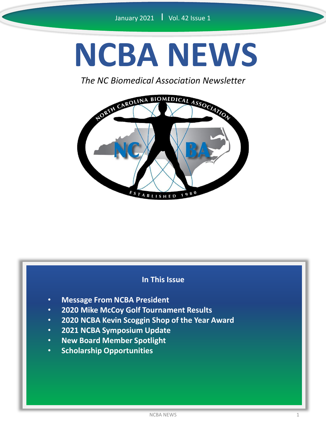# **NCBA NEWS**

*The NC Biomedical Association Newsletter*



#### **In This Issue**

- **Message From NCBA President**
- **2020 Mike McCoy Golf Tournament Results**
- **2020 NCBA Kevin Scoggin Shop of the Year Award**
- **2021 NCBA Symposium Update**
- **New Board Member Spotlight**
- **Scholarship Opportunities**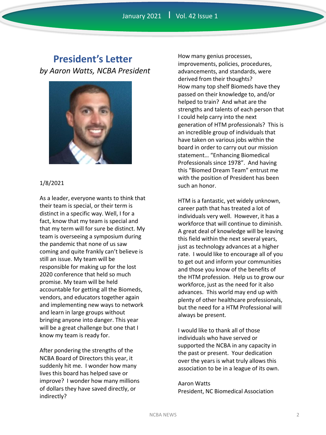### **President's Letter** *by Aaron Watts, NCBA President*



#### 1/8/2021

As a leader, everyone wants to think that their team is special, or their term is distinct in a specific way. Well, I for a fact, know that my team is special and that my term will for sure be distinct. My team is overseeing a symposium during the pandemic that none of us saw coming and quite frankly can't believe is still an issue. My team will be responsible for making up for the lost 2020 conference that held so much promise. My team will be held accountable for getting all the Biomeds, vendors, and educators together again and implementing new ways to network and learn in large groups without bringing anyone into danger. This year will be a great challenge but one that I know my team is ready for.

After pondering the strengths of the NCBA Board of Directors this year, it suddenly hit me. I wonder how many lives this board has helped save or improve? I wonder how many millions of dollars they have saved directly, or indirectly?

How many genius processes, improvements, policies, procedures, advancements, and standards, were derived from their thoughts? How many top shelf Biomeds have they passed on their knowledge to, and/or helped to train? And what are the strengths and talents of each person that I could help carry into the next generation of HTM professionals? This is an incredible group of individuals that have taken on various jobs within the board in order to carry out our mission statement… "Enhancing Biomedical Professionals since 1978". And having this "Biomed Dream Team" entrust me with the position of President has been such an honor.

HTM is a fantastic, yet widely unknown, career path that has treated a lot of individuals very well. However, it has a workforce that will continue to diminish. A great deal of knowledge will be leaving this field within the next several years, just as technology advances at a higher rate. I would like to encourage all of you to get out and inform your communities and those you know of the benefits of the HTM profession. Help us to grow our workforce, just as the need for it also advances. This world may end up with plenty of other healthcare professionals, but the need for a HTM Professional will always be present.

I would like to thank all of those individuals who have served or supported the NCBA in any capacity in the past or present. Your dedication over the years is what truly allows this association to be in a league of its own.

Aaron Watts President, NC Biomedical Association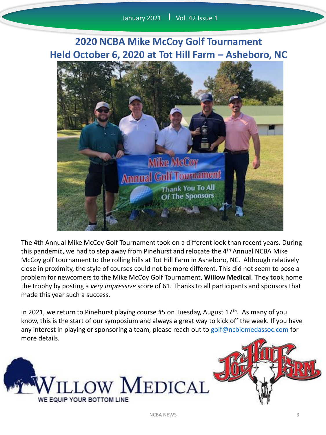# **2020 NCBA Mike McCoy Golf Tournament Held October 6, 2020 at Tot Hill Farm – Asheboro, NC**



The 4th Annual Mike McCoy Golf Tournament took on a different look than recent years. During this pandemic, we had to step away from Pinehurst and relocate the 4<sup>th</sup> Annual NCBA Mike McCoy golf tournament to the rolling hills at Tot Hill Farm in Asheboro, NC. Although relatively close in proximity, the style of courses could not be more different. This did not seem to pose a problem for newcomers to the Mike McCoy Golf Tournament, **Willow Medical**. They took home the trophy by posting a *very impressive* score of 61. Thanks to all participants and sponsors that made this year such a success.

In 2021, we return to Pinehurst playing course #5 on Tuesday, August 17<sup>th</sup>. As many of you know, this is the start of our symposium and always a great way to kick off the week. If you have any interest in playing or sponsoring a team, please reach out to [golf@ncbiomedassoc.com](mailto:golf@ncbiomedassoc.com) for more details.



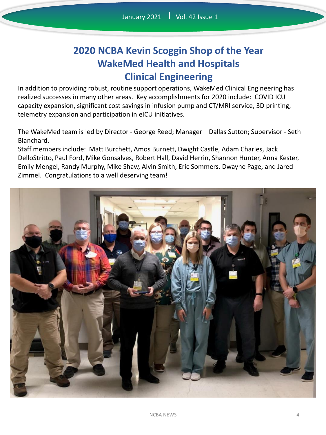# **2020 NCBA Kevin Scoggin Shop of the Year WakeMed Health and Hospitals Clinical Engineering**

In addition to providing robust, routine support operations, WakeMed Clinical Engineering has realized successes in many other areas. Key accomplishments for 2020 include: COVID ICU capacity expansion, significant cost savings in infusion pump and CT/MRI service, 3D printing, telemetry expansion and participation in eICU initiatives.

The WakeMed team is led by Director - George Reed; Manager – Dallas Sutton; Supervisor - Seth Blanchard.

Staff members include: Matt Burchett, Amos Burnett, Dwight Castle, Adam Charles, Jack DelloStritto, Paul Ford, Mike Gonsalves, Robert Hall, David Herrin, Shannon Hunter, Anna Kester, Emily Mengel, Randy Murphy, Mike Shaw, Alvin Smith, Eric Sommers, Dwayne Page, and Jared Zimmel. Congratulations to a well deserving team!

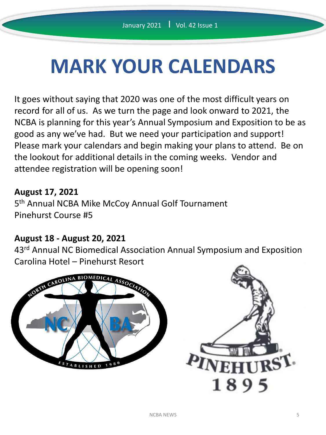# **MARK YOUR CALENDARS**

It goes without saying that 2020 was one of the most difficult years on record for all of us. As we turn the page and look onward to 2021, the NCBA is planning for this year's Annual Symposium and Exposition to be as good as any we've had. But we need your participation and support! Please mark your calendars and begin making your plans to attend. Be on the lookout for additional details in the coming weeks. Vendor and attendee registration will be opening soon!

#### **August 17, 2021**

5<sup>th</sup> Annual NCBA Mike McCoy Annual Golf Tournament Pinehurst Course #5

#### **August 18 - August 20, 2021**

43<sup>rd</sup> Annual NC Biomedical Association Annual Symposium and Exposition Carolina Hotel – Pinehurst Resort

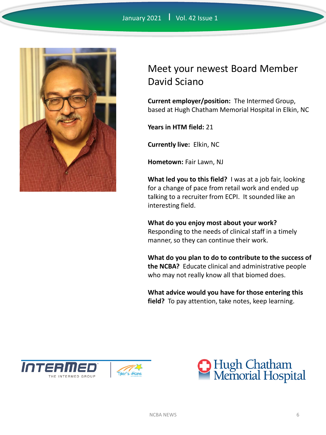

# Meet your newest Board Member David Sciano

**Current employer/position:** The Intermed Group, based at Hugh Chatham Memorial Hospital in Elkin, NC

**Years in HTM field:** 21

**Currently live:** Elkin, NC

**Hometown:** Fair Lawn, NJ

**What led you to this field?** I was at a job fair, looking for a change of pace from retail work and ended up talking to a recruiter from ECPI. It sounded like an interesting field.

**What do you enjoy most about your work?**  Responding to the needs of clinical staff in a timely manner, so they can continue their work.

**What do you plan to do to contribute to the success of the NCBA?** Educate clinical and administrative people who may not really know all that biomed does.

**What advice would you have for those entering this field?** To pay attention, take notes, keep learning.